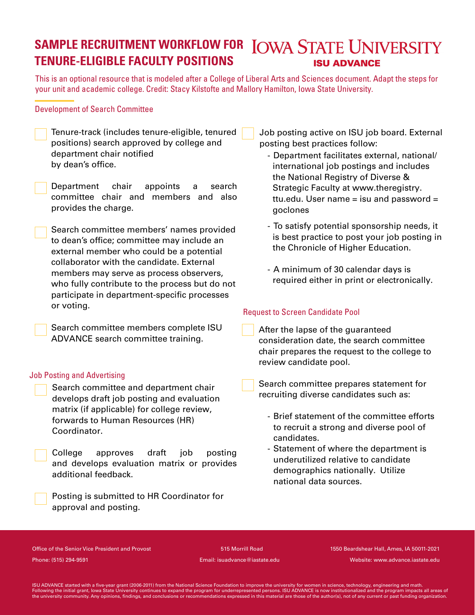# **5AMPLE RECRUITMENT WORKFLOW FOR LOWA STATE UNIVERSITY TENURE-&-\*(\*#-& FACULTY POSITIONS ISU ADVANCE**

This is an optional resource that is modeled after a College of Liberal Arts and Sciences document. Adapt the steps for your unit and academic college. Credit: Stacy Kilstofte and Mallory Hamilton, Iowa State University.

## Development of Search Committee

- Tenure-track (includes tenure-eligible, tenured positions) search approved by college and department chair notified by dean's office.
- Department chair appoints a search committee chair and members and also provides the charge.

Search committee members' names provided to dean's office; committee may include an external member who could be a potential collaborator with the candidate. External members may serve as process observers, who fully contribute to the process but do not participate in department-specific processes or voting.

Search committee members complete ISU ADVANCE search committee training.

### Job Posting and Advertising

Search committee and department chair develops draft job posting and evaluation matrix (if applicable) for college review, forwards to Human Resources (HR) Coordinator.

College approves draft job posting and develops evaluation matrix or provides additional feedback.

Posting is submitted to HR Coordinator for approval and posting.

Job posting active on ISU job board. External posting best practices follow:

- Department facilitates external, national/ international job postings and includes the National Registry of Diverse & Strategic Faculty at www.theregistry. ttu.edu. User name  $=$  isu and password  $=$ goclones
- To satisfy potential sponsorship needs, it is best practice to post your job posting in the Chronicle of Higher Education.
- A minimum of 30 calendar days is required either in print or electronically.

# Request to Screen Candidate Pool

After the lapse of the guaranteed consideration date, the search committee chair prepares the request to the college to review candidate pool.

Search committee prepares statement for recruiting diverse candidates such as:

- Brief statement of the committee efforts to recruit a strong and diverse pool of candidates.
- Statement of where the department is underutilized relative to candidate demographics nationally. Utilize national data sources.

Office of the Senior Vice President and Provost 515 Morrill Road Phone: (515) 294-9591 Email: isuadvance@iastate.edu

 1550 Beardshear Hall, Ames, IA 50011-2021 Website: www.advance.iastate.edu

ISU ADVANCE started with a five-year grant (2006-2011) from the National Science Foundation to improve the university for women in science, technology, engineering and math.<br>Following the initial grant, lowa State Universi the university community. Any opinions, findings, and conclusions or recommendations expressed in this material are those of the author(s), not of any current or past funding organization.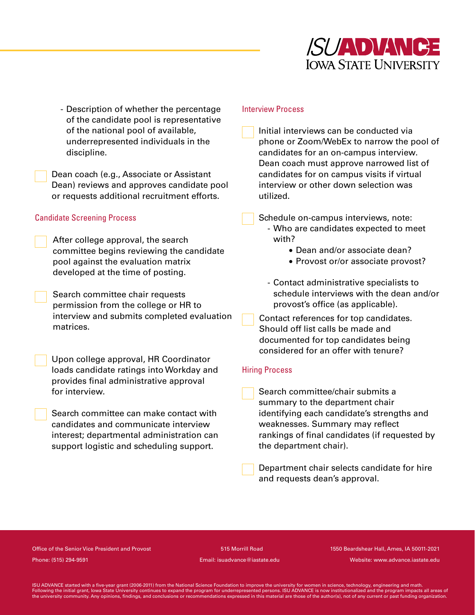

- Description of whether the percentage of the candidate pool is representative of the national pool of available, underrepresented individuals in the discipline.

Dean coach (e.g., Associate or Assistant Dean) reviews and approves candidate pool or requests additional recruitment efforts.

### Candidate Screening Process

After college approval, the search committee begins reviewing the candidate pool against the evaluation matrix developed at the time of posting.

Search committee chair requests permission from the college or HR to interview and submits completed evaluation matrices.

Upon college approval, HR Coordinator loads candidate ratings into Workday and provides final administrative approval for interview.

Search committee can make contact with candidates and communicate interview interest; departmental administration can support logistic and scheduling support.

#### Interview Process

Initial interviews can be conducted via phone or Zoom/WebEx to narrow the pool of candidates for an on-campus interview. Dean coach must approve narrowed list of candidates for on campus visits if virtual interview or other down selection was utilized.

Schedule on-campus interviews, note: - Who are candidates expected to meet with?

- Dean and/or associate dean?
- Provost or/or associate provost?

- Contact administrative specialists to schedule interviews with the dean and/or provost's office (as applicable).

Contact references for top candidates. Should off list calls be made and documented for top candidates being considered for an offer with tenure

### Hiring Process

Search committee/chair submits a summary to the department chair identifying each candidate's strengths and weaknesses. Summary may reflect rankings of final candidates (if requested by the department chair .

Department chair selects candidate for hire and requests dean's approval.

Office of the Senior Vice President and Provost 515 Morrill Road Phone: (515) 294-9591 Email: isuadvance@iastate.edu

 1550 Beardshear Hall, Ames, IA 50011-2021 Website: www.advance.iastate.edu

ISU ADVANCE started with a five-year grant (2006-2011) from the National Science Foundation to improve the university for women in science, technology, engineering and math.<br>Following the initial grant, lowa State Universi the university community. Any opinions, findings, and conclusions or recommendations expressed in this material are those of the author(s), not of any current or past funding organization.